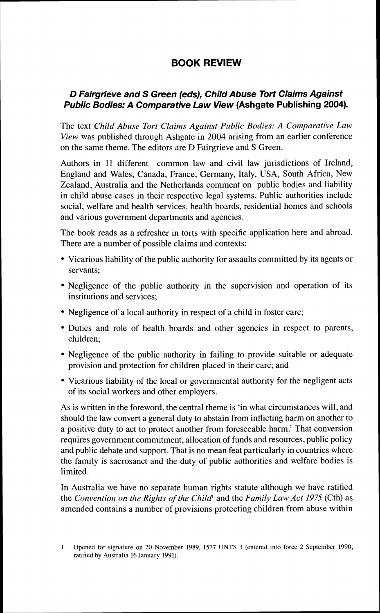## **BOOK REVIEW**

## **D Fairgrieve and S Green (eds), Child Abuse Tort Claims Against Public Bodies: A Comparative Law View (Ashgate Publishing 2004).**

The text *Child Abuse Tort Claims Against Public Bodies: A Comparative Law View* was published through Ashgate in 2004 arising from an earlier conference on the same theme. The editors are D Fairgrieve and S Green.

Authors in 11 different common law and civil law jurisdictions of Ireland, England and Wales, Canada, France, Germany, Italy, USA, South Africa, New Zealand, Australia and the Netherlands comment on public bodies and liability in child abuse cases in their respective legal systems. Public authorities include social, welfare and health services, health boards, residential homes and schools and various government departments and agencies.

The book reads as a refresher in torts with specific application here and abroad. There are a number of possible claims and contexts:

- Vicarious liability of the public authority for assaults committed by its agents or servants;
- Negligence of the public authority in the supervision and operation of its institutions and services;
- Negligence of a local authority in respect of a child in foster care;
- Duties and role of health boards and other agencies in respect to parents, children;
- Negligence of the public authority in failing to provide suitable or adequate provision and protection for children placed in their care; and
- Vicarious liability of the local or governmental authority for the negligent acts of its social workers and other employers.

As is written in the foreword, the central theme is 'in what circumstances will. and should the law convert a general duty to abstain from inflicting harm on another to a positive duty to act to protect another from foreseeable harm.' That conversion requires government commitment, allocation of funds and resources, public policy and public debate and support. That is no mean feat particularly in countries where the family is sacrosanct and the duty of public authorities and welfare bodies is limited.

In Australia we have no separate human rights statute although we have ratified the *Convention* on *the Rights of the Child1* and the *Family Law Act 1975* (Cth) as amended contains a number of provisions protecting children from abuse within

<sup>1</sup> Opened for signature on 20 November 1989, 1577 UNTS 3 (entered into force 2 September 1990, ratified by Australia 16 January 1991).